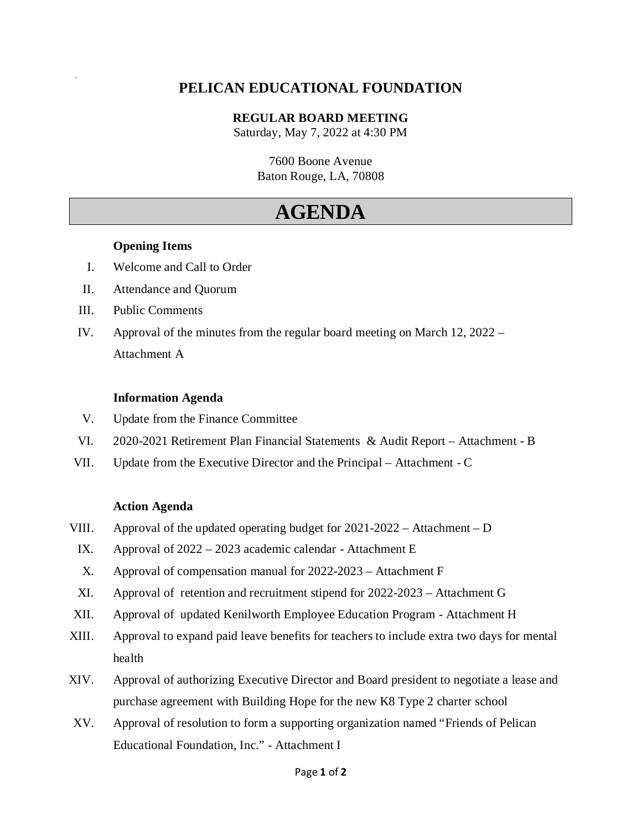### **PELICAN EDUCATIONAL FOUNDATION**

**REGULAR BOARD MEETING**

Saturday, May 7, 2022 at 4:30 PM

7600 Boone Avenue Baton Rouge, LA, 70808

# **AGENDA**

### **Opening Items**

a

- I. Welcome and Call to Order
- II. Attendance and Quorum
- III. Public Comments
- IV. Approval of the minutes from the regular board meeting on March 12, 2022 Attachment A

#### **Information Agenda**

- V. Update from the Finance Committee
- VI. 2020-2021 Retirement Plan Financial Statements & Audit Report Attachment B
- VII. Update from the Executive Director and the Principal Attachment C

#### **Action Agenda**

- VIII. Approval of the updated operating budget for 2021-2022 Attachment D
	- IX. Approval of 2022 2023 academic calendar Attachment E
	- X. Approval of compensation manual for 2022-2023 Attachment F
	- XI. Approval of retention and recruitment stipend for 2022-2023 Attachment G
- XII. Approval of updated Kenilworth Employee Education Program Attachment H
- XIII. Approval to expand paid leave benefits for teachers to include extra two days for mental health
- XIV. Approval of authorizing Executive Director and Board president to negotiate a lease and purchase agreement with Building Hope for the new K8 Type 2 charter school
- XV. Approval of resolution to form a supporting organization named "Friends of Pelican Educational Foundation, Inc." - Attachment I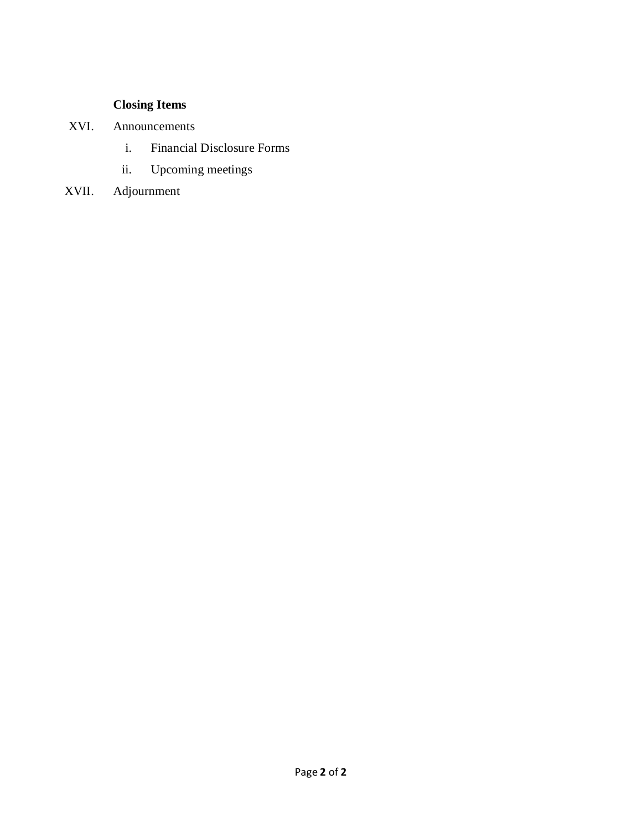## **Closing Items**

- XVI. Announcements
	- i. Financial Disclosure Forms
	- ii. Upcoming meetings
- XVII. Adjournment